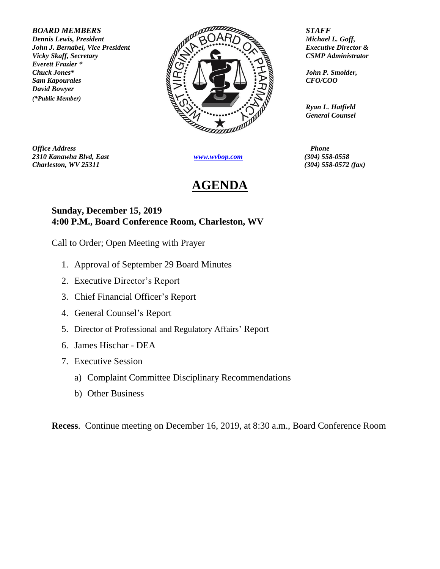*Everett Frazier \* David Bowyer (\*Public Member)*



*Office Address Phone 2310 Kanawha Blvd, East [www.wvbop.com](http://www.wvbop.com/) (304) 558-0558 Charleston, WV 25311 (304) 558-0572 (fax)*

## **AGENDA**

*Ryan L. Hatfield General Counsel*

## **Sunday, December 15, 2019 4:00 P.M., Board Conference Room, Charleston, WV**

Call to Order; Open Meeting with Prayer

- 1. Approval of September 29 Board Minutes
- 2. Executive Director's Report
- 3. Chief Financial Officer's Report
- 4. General Counsel's Report
- 5. Director of Professional and Regulatory Affairs' Report
- 6. James Hischar DEA
- 7. Executive Session
	- a) Complaint Committee Disciplinary Recommendations
	- b) Other Business

**Recess**. Continue meeting on December 16, 2019, at 8:30 a.m., Board Conference Room